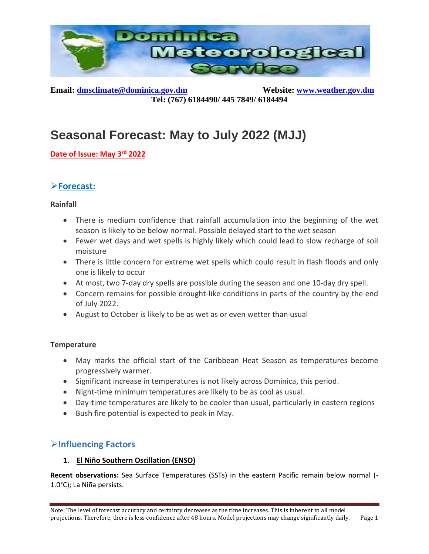

**Email:** [dmsclimate@dominica.gov.dm](mailto:dmsclimate@dominica.gov.dm) Website: [www.weather.gov.dm](http://www.weather.gov.dm/) **Tel: (767) 6184490/ 445 7849/ 6184494**

# **Seasonal Forecast: May to July 2022 (MJJ)**

**Date of Issue: May 3 rd 2022**

# ➢**Forecast:**

### **Rainfall**

- There is medium confidence that rainfall accumulation into the beginning of the wet season is likely to be below normal. Possible delayed start to the wet season
- Fewer wet days and wet spells is highly likely which could lead to slow recharge of soil moisture
- There is little concern for extreme wet spells which could result in flash floods and only one is likely to occur
- At most, two 7-day dry spells are possible during the season and one 10-day dry spell.
- Concern remains for possible drought-like conditions in parts of the country by the end of July 2022.
- August to October is likely to be as wet as or even wetter than usual

## **Temperature**

- May marks the official start of the Caribbean Heat Season as temperatures become progressively warmer.
- Significant increase in temperatures is not likely across Dominica, this period.
- Night-time minimum temperatures are likely to be as cool as usual.
- Day-time temperatures are likely to be cooler than usual, particularly in eastern regions
- Bush fire potential is expected to peak in May.

## ➢**Influencing Factors**

## **1. El Niño Southern Oscillation (ENSO)**

**Recent observations:** Sea Surface Temperatures (SSTs) in the eastern Pacific remain below normal (- 1.0°C); La Niña persists.